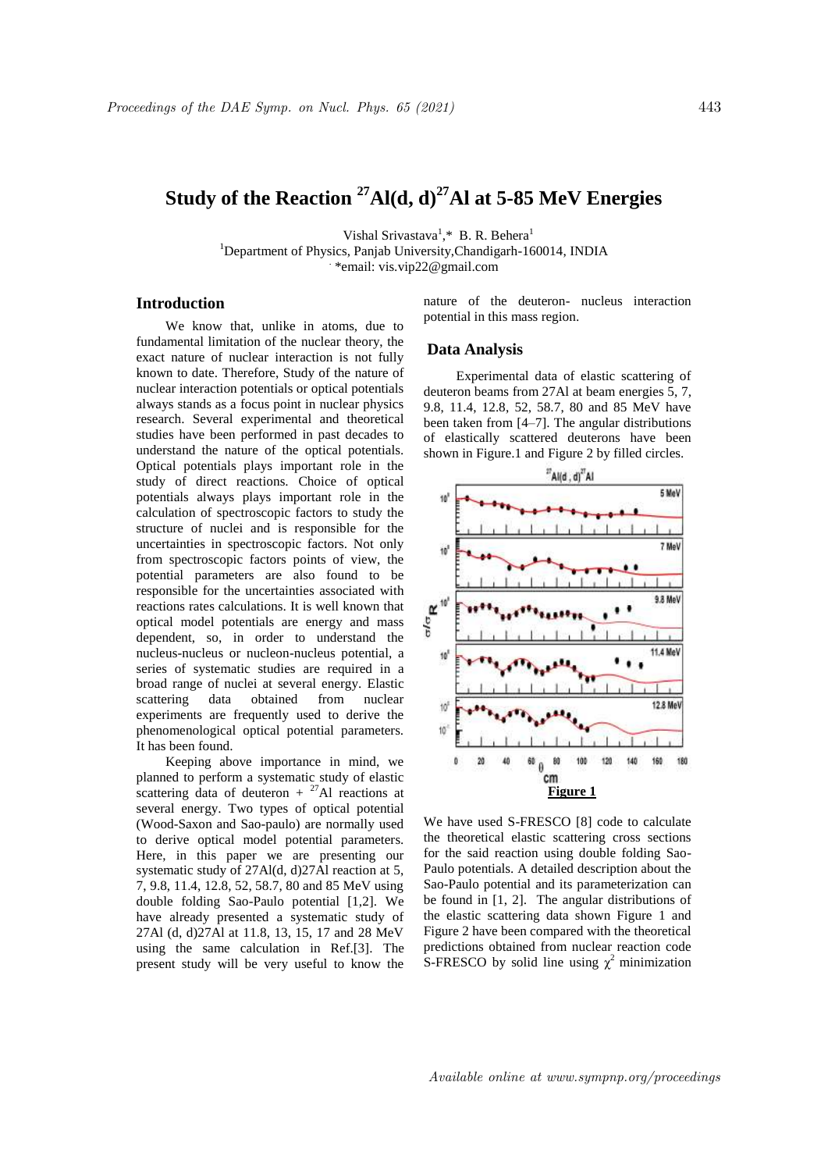# **Study of the Reaction <sup>27</sup>Al(d, d)<sup>27</sup>Al at 5-85 MeV Energies**

Vishal Srivastava<sup>1</sup>,\* B. R. Behera<sup>1</sup> <sup>1</sup>Department of Physics, Panjab University, Chandigarh-160014, INDIA . \*email: vis.vip22@gmail.com

# **Introduction**

We know that, unlike in atoms, due to fundamental limitation of the nuclear theory, the exact nature of nuclear interaction is not fully known to date. Therefore, Study of the nature of nuclear interaction potentials or optical potentials always stands as a focus point in nuclear physics research. Several experimental and theoretical studies have been performed in past decades to understand the nature of the optical potentials. Optical potentials plays important role in the study of direct reactions. Choice of optical potentials always plays important role in the calculation of spectroscopic factors to study the structure of nuclei and is responsible for the uncertainties in spectroscopic factors. Not only from spectroscopic factors points of view, the potential parameters are also found to be responsible for the uncertainties associated with reactions rates calculations. It is well known that optical model potentials are energy and mass dependent, so, in order to understand the nucleus-nucleus or nucleon-nucleus potential, a series of systematic studies are required in a broad range of nuclei at several energy. Elastic scattering data obtained from nuclear experiments are frequently used to derive the phenomenological optical potential parameters. It has been found.

Keeping above importance in mind, we planned to perform a systematic study of elastic scattering data of deuteron  $+$  <sup>27</sup>Al reactions at several energy. Two types of optical potential (Wood-Saxon and Sao-paulo) are normally used to derive optical model potential parameters. Here, in this paper we are presenting our systematic study of 27Al(d, d)27Al reaction at 5, 7, 9.8, 11.4, 12.8, 52, 58.7, 80 and 85 MeV using double folding Sao-Paulo potential [1,2]. We have already presented a systematic study of 27Al (d, d)27Al at 11.8, 13, 15, 17 and 28 MeV using the same calculation in Ref.[3]. The present study will be very useful to know the nature of the deuteron- nucleus interaction potential in this mass region.

#### **Data Analysis**

Experimental data of elastic scattering of deuteron beams from 27Al at beam energies 5, 7, 9.8, 11.4, 12.8, 52, 58.7, 80 and 85 MeV have been taken from [4–7]. The angular distributions of elastically scattered deuterons have been shown in Figure.1 and Figure 2 by filled circles.



We have used S-FRESCO [8] code to calculate the theoretical elastic scattering cross sections for the said reaction using double folding Sao-Paulo potentials. A detailed description about the Sao-Paulo potential and its parameterization can be found in [1, 2]. The angular distributions of the elastic scattering data shown Figure 1 and Figure 2 have been compared with the theoretical predictions obtained from nuclear reaction code S-FRESCO by solid line using  $\chi^2$  minimization